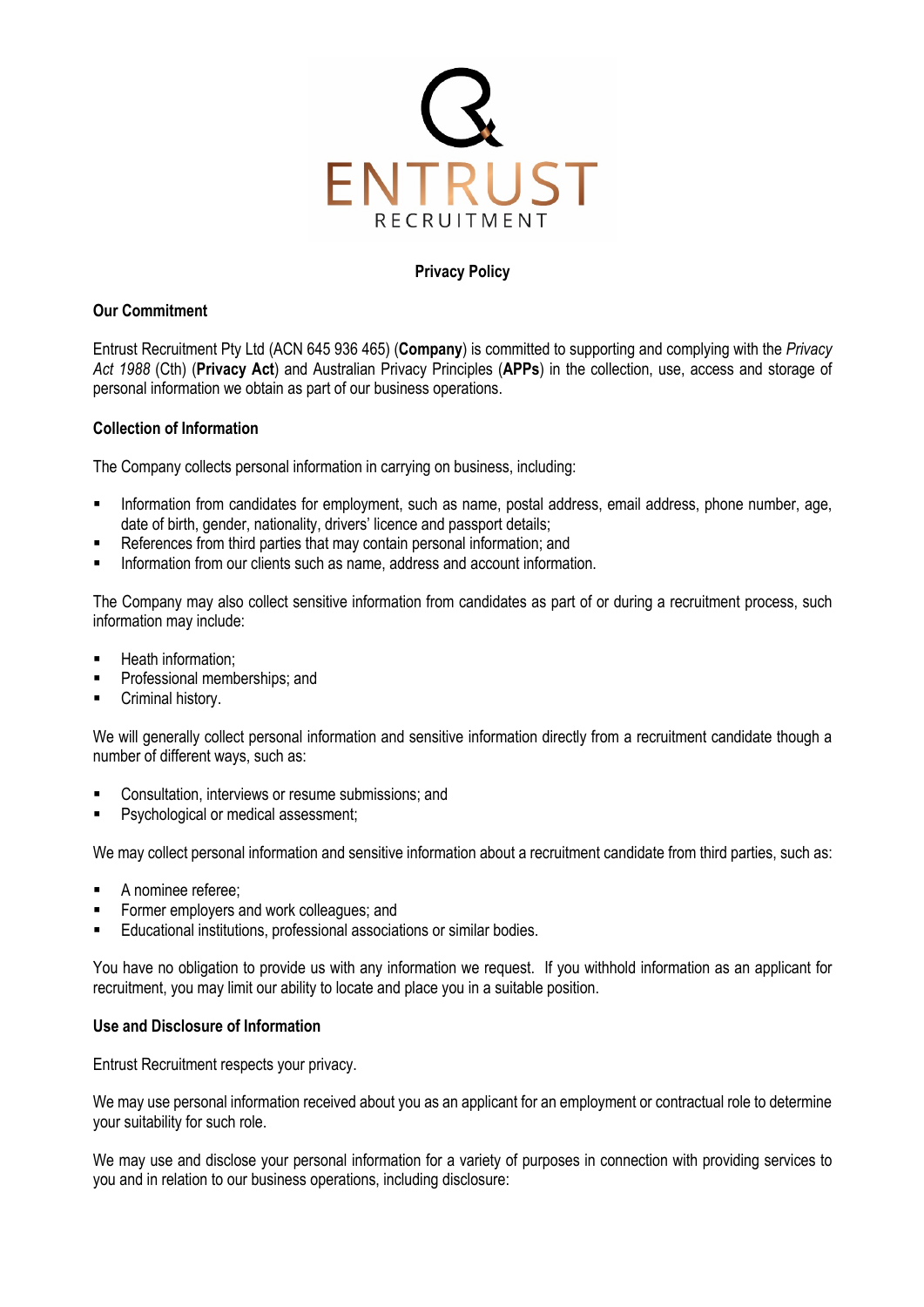

# **Privacy Policy**

## **Our Commitment**

Entrust Recruitment Pty Ltd (ACN 645 936 465) (**Company**) is committed to supporting and complying with the *Privacy Act 1988* (Cth) (**Privacy Act**) and Australian Privacy Principles (**APPs**) in the collection, use, access and storage of personal information we obtain as part of our business operations.

## **Collection of Information**

The Company collects personal information in carrying on business, including:

- § Information from candidates for employment, such as name, postal address, email address, phone number, age, date of birth, gender, nationality, drivers' licence and passport details;
- References from third parties that may contain personal information; and
- Information from our clients such as name, address and account information.

The Company may also collect sensitive information from candidates as part of or during a recruitment process, such information may include:

- Heath information;
- § Professional memberships; and
- Criminal history.

We will generally collect personal information and sensitive information directly from a recruitment candidate though a number of different ways, such as:

- Consultation, interviews or resume submissions; and
- Psychological or medical assessment;

We may collect personal information and sensitive information about a recruitment candidate from third parties, such as:

- § A nominee referee;
- § Former employers and work colleagues; and
- Educational institutions, professional associations or similar bodies.

You have no obligation to provide us with any information we request. If you withhold information as an applicant for recruitment, you may limit our ability to locate and place you in a suitable position.

#### **Use and Disclosure of Information**

Entrust Recruitment respects your privacy.

We may use personal information received about you as an applicant for an employment or contractual role to determine your suitability for such role.

We may use and disclose your personal information for a variety of purposes in connection with providing services to you and in relation to our business operations, including disclosure: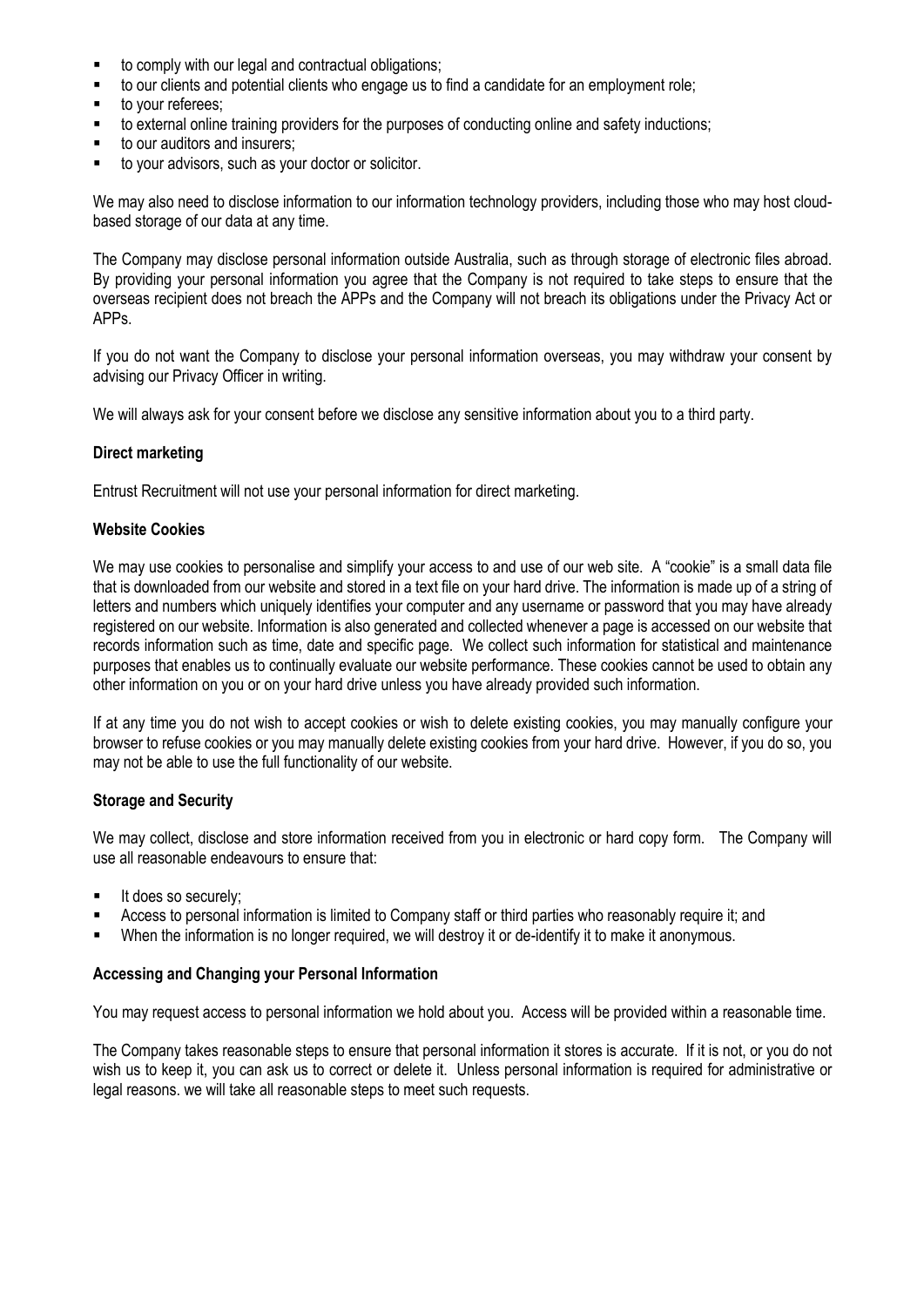- to comply with our legal and contractual obligations;
- to our clients and potential clients who engage us to find a candidate for an employment role;
- § to your referees;
- to external online training providers for the purposes of conducting online and safety inductions;
- to our auditors and insurers;
- to your advisors, such as your doctor or solicitor.

We may also need to disclose information to our information technology providers, including those who may host cloudbased storage of our data at any time.

The Company may disclose personal information outside Australia, such as through storage of electronic files abroad. By providing your personal information you agree that the Company is not required to take steps to ensure that the overseas recipient does not breach the APPs and the Company will not breach its obligations under the Privacy Act or APPs.

If you do not want the Company to disclose your personal information overseas, you may withdraw your consent by advising our Privacy Officer in writing.

We will always ask for your consent before we disclose any sensitive information about you to a third party.

#### **Direct marketing**

Entrust Recruitment will not use your personal information for direct marketing.

#### **Website Cookies**

We may use cookies to personalise and simplify your access to and use of our web site. A "cookie" is a small data file that is downloaded from our website and stored in a text file on your hard drive. The information is made up of a string of letters and numbers which uniquely identifies your computer and any username or password that you may have already registered on our website. Information is also generated and collected whenever a page is accessed on our website that records information such as time, date and specific page. We collect such information for statistical and maintenance purposes that enables us to continually evaluate our website performance. These cookies cannot be used to obtain any other information on you or on your hard drive unless you have already provided such information.

If at any time you do not wish to accept cookies or wish to delete existing cookies, you may manually configure your browser to refuse cookies or you may manually delete existing cookies from your hard drive. However, if you do so, you may not be able to use the full functionality of our website.

#### **Storage and Security**

We may collect, disclose and store information received from you in electronic or hard copy form. The Company will use all reasonable endeavours to ensure that:

- **E** It does so securely:
- § Access to personal information is limited to Company staff or third parties who reasonably require it; and
- When the information is no longer required, we will destroy it or de-identify it to make it anonymous.

#### **Accessing and Changing your Personal Information**

You may request access to personal information we hold about you. Access will be provided within a reasonable time.

The Company takes reasonable steps to ensure that personal information it stores is accurate. If it is not, or you do not wish us to keep it, you can ask us to correct or delete it. Unless personal information is required for administrative or legal reasons. we will take all reasonable steps to meet such requests.